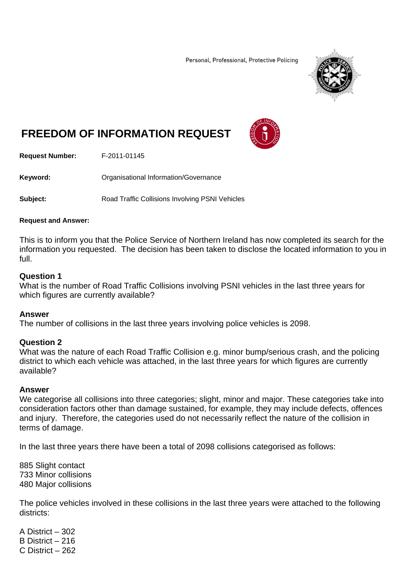Personal, Professional, Protective Policing



# **FREEDOM OF INFORMATION REQUEST**



**Request Number:** F-2011-01145

**Keyword: C**rganisational Information/Governance

**Subject:** Road Traffic Collisions Involving PSNI Vehicles

#### **Request and Answer:**

This is to inform you that the Police Service of Northern Ireland has now completed its search for the information you requested. The decision has been taken to disclose the located information to you in full.

## **Question 1**

What is the number of Road Traffic Collisions involving PSNI vehicles in the last three years for which figures are currently available?

### **Answer**

The number of collisions in the last three years involving police vehicles is 2098.

# **Question 2**

What was the nature of each Road Traffic Collision e.g. minor bump/serious crash, and the policing district to which each vehicle was attached, in the last three years for which figures are currently available?

### **Answer**

We categorise all collisions into three categories; slight, minor and major. These categories take into consideration factors other than damage sustained, for example, they may include defects, offences and injury. Therefore, the categories used do not necessarily reflect the nature of the collision in terms of damage.

In the last three years there have been a total of 2098 collisions categorised as follows:

885 Slight contact 733 Minor collisions 480 Major collisions

The police vehicles involved in these collisions in the last three years were attached to the following districts:

A District – 302 B District – 216 C District – 262